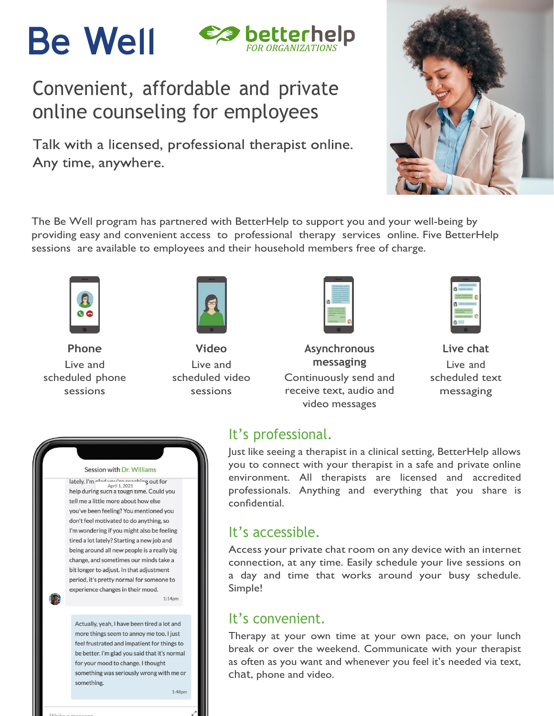# **Be Well**



## Convenient, affordable and private online counseling for employees

Talk with a licensed, professional therapist online. Any time, anywhere.



The Be Well program has partnered with BetterHelp to support you and your well-being by providing easy and convenient access to professional therapy services online. Five BetterHelp sessions are available to employees and their household members free of charge.



**Phone** Live and scheduled phone sessions



**Video** Live and scheduled video sessions

| _       |
|---------|
| __<br>۰ |
| ۰       |
|         |
|         |
|         |
|         |
|         |
|         |
| __      |
| -       |
|         |
|         |
|         |
|         |

**Asynchronous messaging** Continuously send and receive text, audio and video messages



**Live chat** Live and scheduled text messaging

### It's professional.

Just like seeing a therapist in a clinical setting, BetterHelp allows you to connect with your therapist in a safe and private online environment. All therapists are licensed and accredited professionals. Anything and everything that you share is confidential.

### It's accessible.

Access your private chat room on any device with an internet connection, at any time. Easily schedule your live sessions on a day and time that works around your busy schedule. Simple!

### It's convenient.

Therapy at your own time at your own pace, on your lunch break or over the weekend. Communicate with your therapist as often as you want and whenever you feel it's needed via text, chat, phone and video.

#### Session with Dr. Williams

lately. I'm clod would anothing out for Anril 1 2021 help during such a tough time. Could you tell me a little more about how else you've been feeling? You mentioned you don't feel motivated to do anything, so I'm wondering if you might also be feeling tired a lot lately? Starting a new job and being around all new people is a really big change, and sometimes our minds take a bit longer to adjust. In that adjustment period, it's pretty normal for someone to experience changes in their mood.  $1:14<sub>pm</sub>$ 

Actually, yeah, I have been tired a lot and more things seem to annoy me too. I just feel frustrated and impatient for things to be better. I'm glad you said that it's normal for your mood to change. I thought something was seriously wrong with me or something.

 $1:48<sub>pm</sub>$